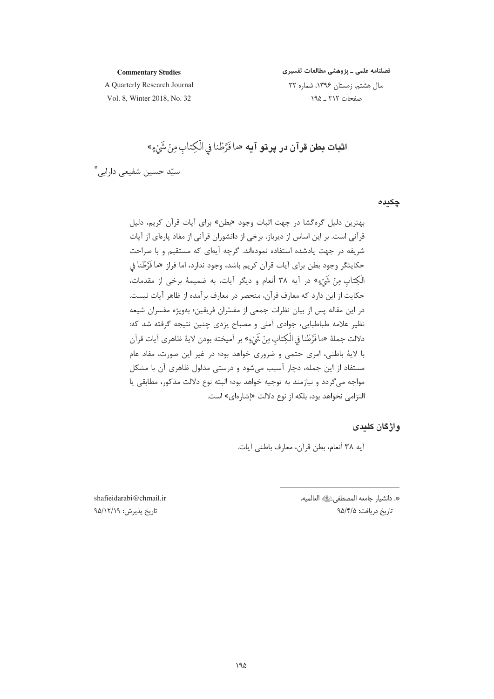#### **Commentary Studies**

فصلنامه علمی ـ پژوهشی مطالعات تفسیری

A Quarterly Research Journal

سال هشتم، زمستان ١٣٩۶، شماره ٣٢ صفحات ٢١٢ \_ ١٩۵

Vol. 8, Winter 2018, No. 32

**اثبات بطن قرآن در پرتو آيه** «ما فَرَّطْنا فِي الْكِتابِ مِنْ شَيْءٍ» سیّد حسین شفیعی دارابی \*

چکیدہ

واژگان کلیدی

أيه ٣٨ أنعام، بطن قرآن، معارف باطني آيات.

\*. دانشيار جامعه المصطفىﷺ العالميه. تاريخ دريافت: ٩۵/۴/۵

shafieidarabi@chmail.ir تاريخ پذيرش: ٩۵/١٢/١٩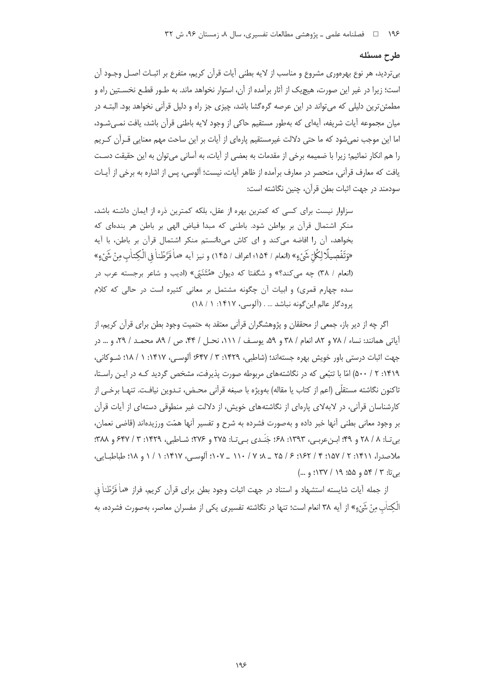#### طرح مسئله

بیتردید، هر نوع بهرهوری مشروع و مناسب از لایه بطنی آیات قرآن کریم، متفرع بر اثبـات اصـل وجـود آن است؛ زیرا در غیر این صورت، هیچ یک از آثار برآمده از آن، استوار نخواهد ماند. به طـور قطـع نخســتین راه و مطمئن ترین دلیلی که می تواند در این عرصه گرهگشا باشد، چیزی جز راه و دلیل قرآنی نخواهد بود. البتـه در میان مجموعه آیات شریفه، آیهای که بهطور مستقیم حاکی از وجود لایه باطنی قرآن باشد، یافت نمـی شـود، اما این موجب نمی شود که ما حتی دلالت غیرمستقیم یارهای از آیات بر این ساحت مهم معنایی قـرآن کـریم را هم انكار نمائيم؛ زيرا با ضميمه برخي از مقدمات به بعضي از آيات، به آساني مي توان به اين حقيقت دسـت يافت كه معارف قرآني، منحصر در معارف برآمده از ظاهر آيات، نيست؛ آلوسي، پس از اشاره به برخي از آيـات سودمند در جهت اثبات بطن قرآن، چنین نگاشته است:

سزاوار نیست برای کسی که کمترین بهره از عقل، بلکه کمترین ذره از ایمان داشته باشد، منكر اشتمال قرآن بر بواطن شود. باطني كه مبدا فياض الهي بر باطن هر بندهاى كه بخواهد، آن را افاضه می کند و ای کاش می دانستم منکر اشتمال قرآن بر باطن، با آیه «وَتَفْصِيلًا لِكُلّ شَيْءٍ» (انعام / ١۵۴؛ اعراف / ١۴۵) و نيز آيه «ماْ فَرَّطْناً في الْكِتابِ مِنْ شَيْءٍ» (انعام / ٣٨) چه می کند؟» و شگفتا که دیوان «مُتَنَبّى» (ادیب و شاعر برجسته عرب در سده چهارم قمری) و ابیات آن چگونه مشتمل بر معانی کثیره است در حالی که کلام پرودگار عالم این گونه نباشد ... . (آلوسی، ۱۴۱۷: ۱۸/۱)

اگر چه از دیر باز، جمعی از محققان و پژوهشگران قرآنی معتقد به حتمیت وجود بطن برای قرآن کریم، از آياتي همانند: نساء / ٧٨ و ٨٢، انعام / ٣٨ و ٥٩، يوسـف / ١١١، نحـل / ۴۴، ص / ٨٩، محمـد / ٢٩، و … در جهت اثبات درستی باور خویش بهره جستهاند؛ (شاطبی، ۱۴۲۹: ۳ / ۶۴۷؛ آلوسـی، ۱۴۱۷: ۱ / ۱۸؛ شـوكانی، ۱۴۱۹: ۲ / ۵۰۰) امّا با تتبّعی که در نگاشتههای مربوطه صورت پذیرفت، مشخص گردید کـه در ایـن راسـتا، تاكنون نگاشته مستقلَّى (اعم از كتاب يا مقاله) بهويژه با صبغه قرآني محـض، تـدوين نيافـت. تنهـا برخـي از کارشناسان قرآنی، در لابهلای پارهای از نگاشتههای خویش، از دلالت غیر منطوقی دستهای از آیات قرآن بر وجود معانی بطنی آنها خبر داده و بهصورت فشرده به شرح و تفسیر آنها همّت ورزیدهاند (قاضی نعمان، بي تـا: ٨ / ٢٨ و ٤٩: ابـنءربـي، ١٣٩٣: ٤٨: جَنَـدي بـي تـا: ٢٧٥ و ٢٧۶: شـاطبي، ١۴٢٩: ٣ / ٤٤٧ و ٣٨٨: ملاصدرا، ١٤١١: ٢ / ١٥٧: ٣ / ١٤٢: ۶ / ٢٥ \_ ٨؛ ٧ / ١١٠ \_ ١٠٧ \_ ١٠٧: ألوسي، ١٤١٧: ١ / ١ و ١٨: طباطبايي، به تا: ۳ / ۵۴ و ۵۵؛ ۱۹ / ۱۳۷؛ و ...)

از جمله آيات شايسته استشهاد و استناد در جهت اثبات وجود بطن براي قرآن كريم، فراز «ماْ فَرَّطْناْ فِي الْكتاٰب منْ شَيَّءِ» از آيه ٣٨ انعام است؛ تنها در نگاشته تفسيري يكي از مفسران معاصر، بهصورت فشرده، به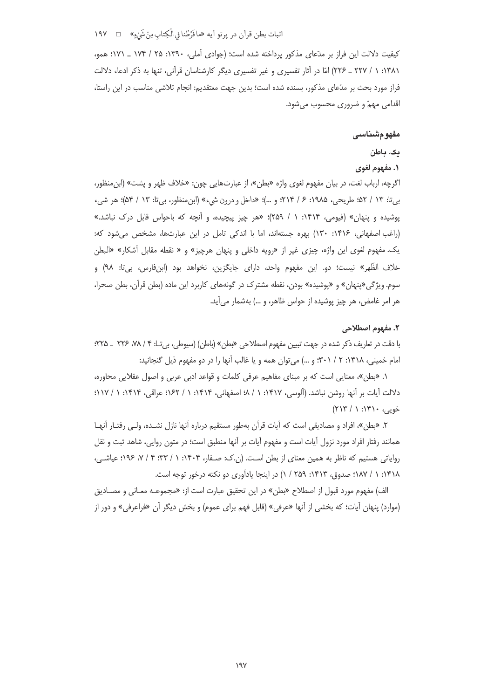# اثبات بطن قرآن در پرتو آيه «ما فَرَّطْنا في الْكِتاب مِنْ شَيْءٍ» □ ١٩٧

کیفیت دلالت این فراز بر مدّعای مذکور پرداخته شده است؛ (جوادی آملی، ۱۳۹۰: ۲۵ / ۱۷۴ \_ ۱۷۱؛ همو، ۱۳۸۱: ۱ / ۲۲۷ \_ ۲۲۶) امّا در آثار تفسیری و غیر تفسیری دیگر کارشناسان قرآنی، تنها به ذکر ادعاء دلالت فراز مورد بحث بر مدّعای مذکور، بسنده شده است؛ بدین جهت معتقدیم: انجام تلاشی مناسب در این راستا، اقدامی مهمّ و ضروری محسوب می شود.

#### مفهومشناسى

#### یک. باطن

# ١. مفهوم لغوي

اگرچه، ارباب لغت، در بیان مفهوم لغوی واژه «بطن»، از عبارتهایی چون: «خلاف ظهر و پشت» (ابنِ منظور، بي¤: ١٣ / ٥٢؛ طريحي، ١٩٨۵: ۶ / ٢١۴؛ و …)؛ «داخل و درون شيء» (ابن.منظور، بي¤: ١٣ / ٥۴)؛ هر شيء پوشیده و پنهان» (فیومی، ۱۴۱۴: ۱ / ۲۵۹)؛ «هر چیز پیچیده، و آنچه که باحواس قابل درک نباشد.» (راغب اصفهانی، ۱۴۱۶: ۱۳۰) بهره جستهاند، اما با اندکی تامل در این عبارتها، مشخص می شود که: یک. مفهوم لغوی این واژه، چیزی غیر از «رویه داخلی و پنهان هرچیز» و « نقطه مقابل آشکار» «البطن خلاف الظّهر» نيست؛ دو. اين مفهوم واحد، داراي جايگزين، نخواهد بود (ابنفارس، بي'تا: ٩٨) و سوم. ویژگی«پنهان» و «پوشیده» بودن، نقطه مشترک در گونههای کاربرد این ماده (بطن قرآن، بطن صحرا، هر امر غامض، هر چیز پوشیده از حواس ظاهر، و …) بهشمار می[ید.

#### ٢. مفهوم اصطلاحي

با دقت در تعاریف ذکر شده در جهت تبیین مفهوم اصطلاحی «بطن» (باطن) (سیوطی، بی تـا: ۴ / ۷۸، ۲۲۶ \_ ۲۲۵: امام خمینی، ۱۴۱۸: ۲ / ۳۰۱؛ و ...) می توان همه و یا غالب آنها را در دو مفهوم ذیل گنجانید:

۱. «بطن»، معنایی است که بر مبنای مفاهیم عرفی کلمات و قواعد ادبی عربی و اصول عقلایی محاوره، دلالت آيات بر آنها روشن نباشد. (آلوسي، ١۴١٧: ١ / ٨؛ اصفهاني، ١٤١٣: ١ / ١٤٢؛ عراقي، ١٣١۴: ١ / ١١٧؛ خويې، ۱۴۱۰: ۱ / ۲۱۳)

٢. «بطن»، افراد و مصادیقی است که آیات قرآن بهطور مستقیم درباره آنها نازل نشـده، ولـی رفتـار آنهـا همانند رفتار افراد مورد نزول آيات است و مفهوم آيات بر آنها منطبق است؛ در متون روايي، شاهد ثبت و نقل روایاتی هستیم که ناظر به همین معنای از بطن است. (ن.ک: صـفار، ۱۴۰۴: ۱ / ۰:۳۳ / ۷، ۱۹۶: عیاشـی، ١۴١٨: ١ / ١٨٧؛ صدوق، ١۴١٣: ٢۵٩ / ١) در اينجا يادآوري دو نكته درخور توجه است.

الف) مفهوم مورد قبول از اصطلاح «بطن» در این تحقیق عبارت است از: «مجموعـه معـانی و مصـادیق (موارد) پنهان آیات؛ که بخشی از آنها «عرفی» (قابل فهم برای عموم) و بخش دیگر آن «فراعرفی» و دور از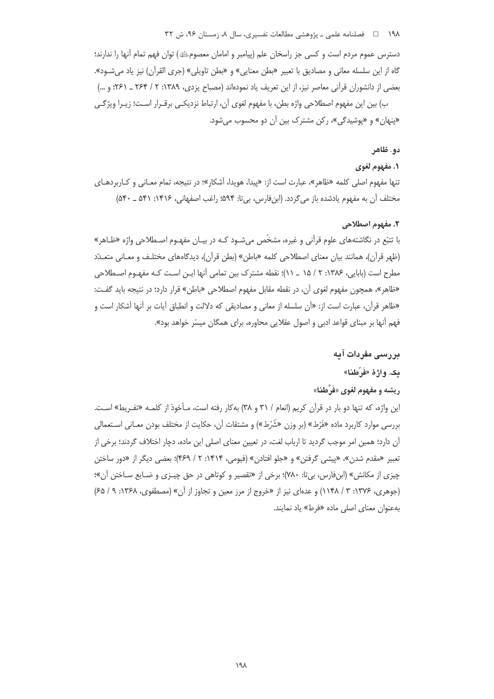دسترس عموم مردم است و كسى جز راسخان علم (پيامبر و امامان معصومﷺ) توان فهم تمام آنها را ندارند؛ گاه از این سلسله معانی و مصادیق با تعبیر «بطن معنایی» و «بطن تاویلی» (جری القرآن) نیز یاد می شـود». بعضي از دانشوران قرآني معاصر نيز، از اين تعريف ياد نمودهاند (مصباح يزدي، ١٣٨٩: ٢ / ٢۶۴ ـ ٢۶١: و …)

ب) بين اين مفهوم اصطلاحي واژه بطن، با مفهوم لغوي آن، ارتباط نزديكـي برقــرار اسـت؛ زيــرا ويژگــي «پنهان» و «پوشیدگی»، رکن مشترک بین آن دو محسوب می شود.

# دو. ظاهر

#### **۱. مفهوم لغوي**

تنها مفهوم اصلی کلمه «ظاهر»، عبارت است از: «پیدا، هویدا، آشکار»؛ در نتیجه، تمام معـانی و کـاربردهـای مختلف آن به مفهوم یادشده باز می گردد. (ابنفارس، بی تا: ۵۹۴؛ راغب اصفهانی، ۱۴۱۶: ۵۴۱ ـ ۵۴۰)

#### ٢. مفهوم اصطلاحي

با تتبّع در نگاشتههای علوم قرآنی و غیره، مشخّص می شـود کـه در بیـان مفهـوم اصـطلاحی واژه «ظـاهر» (ظهر قرآن)، همانند بیان معنای اصطلاحی کلمه «باطن» (بطن قرآن)، دیدگاههای مختلف و معـانی متعـدّد مطرح است (بابایی، ۱۳۸۶: ۲ / ۱۵ \_ ۱۱)؛ نقطه مشترک بین تمامی آنها ایـن اسـت کـه مفهـوم اصـطلاحی «ظاهر»، همچون مفهوم لغوی آن، در نقطه مقابل مفهوم اصطلاحی «باطن» قرار دارد؛ در نتیجه باید گفت: «ظاهر قرآن، عبارت است از: «أن سلسله از معاني و مصاديقي كه دلالت و انطباق آيات بر آنها آشكار است و فهم آنها بر مبنای قواعد ادبی و اصول عقلایی محاوره، برای همگان میسّر خواهد بود».

#### بررسی مفردات آیه

# مک. واژهٔ «فَرّطنا»

# ريشه و مفهوم لغوي «فَرَّطنا»

این واژه، که تنها دو بار در قرآن کریم (انعام / ۳۱ و ۳۸) بهکار رفته است، مـأخوذ از کلمـه «تفـريط» اسـت. بررسي موارد كاربرد ماده «فَرْط» (بر وزن «شَرْط») و مشتقات آن، حكايت از مختلف بودن معـاني اسـتعمالي آن دارد؛ همین امر موجب گردید تا ارباب لغت، در تعیین معنای اصلی این ماده، دچار اختلاف گردند؛ برخی از تعبير «مقدم شدن»، «پيشي گرفتن» و «جلو افتادن» (فيومي، ۱۴۱۴: ۲ / ۴۶۹)؛ بعضي ديگر از «دور ساختن چیزی از مکانش» (ابنفارس، بیتا: ٧٨٠)؛ برخی از «تقصیر و کوتاهی در حق چیـزی و ضـایع سـاختن آن»؛ (جوهری، ۱۳۷۶: ۳ / ۱۱۴۸) و عدمای نیز از «خروج از مرز معین و تجاوز از آن» (مصطفوی، ۱۳۶۸: ۹ / ۶۵) به عنوان معناى اصلى ماده «فرط» ياد نمايند.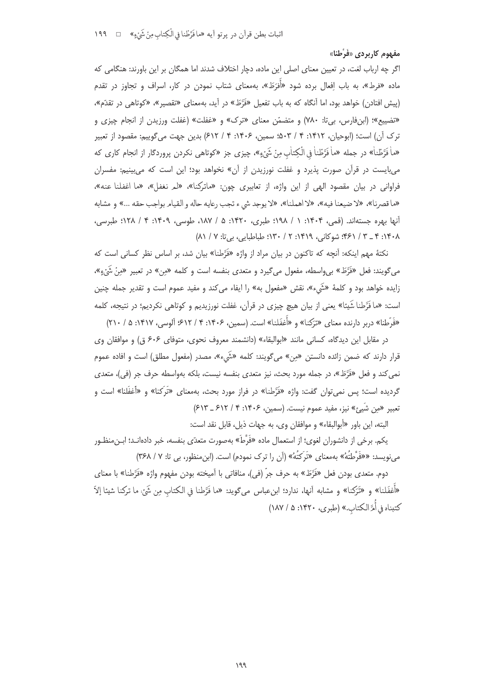### مفهوم کاربردی «فَرَّطنا»

اگر چه ارباب لغت، در تعیین معنای اصلی این ماده، دچار اختلاف شدند اما همگان بر این باورند: هنگامی که ماده «فرط»، به باب اِفعال برده شود «اَفرَطَ»، بهمعنای شتاب نمودن در کار، اسراف و تجاوز در تقدم (پیش افتادن) خواهد بود، اما آنگاه که به باب تفعیل «فَرَّطَ» در آید، بهمعنای «تقصیر»، «کوتاهی در تقدّم»، «تضييع»؛ (ابنفارس، بي تا: ٧٨٠) و متضمّن معناي «ترك» و «غفلت» (غفلت ورزيدن از انجام چيزي و ترک آن) است؛ (ابوحیان، ۱۴۱۲: ۴ / ۵۰۳، سمین، ۱۴۰۶: ۴ / ۶۱۲) بدین جهت می گوییم: مقصود از تعبیر «ماْ فَرَّطْناْ» در جمله «ماْ فَرَّطْناْ فِي الْكِتاٰبِ مِنْ شَيْءٍ»، چيزي جز «كوتاهي نكردن پروردگار از انجام كاري كه می بایست در قرآن صورت پذیرد و غفلت نورزیدن از آن» نخواهد بود؛ این است که می بینیم: مفسران فراوانی در بیان مقصود الهی از این واژه، از تعابیری چون: «ماترکنا»، «لم نغفل»، «ما اغفلنا عنه»، «ما قصرنا»، «لا ضيعنا فيه»، «لا اهملنا»، «لا يوجد شيء تجب رعايه حاله و القيام بواجب حقه ...» و مشابه آنها بهره جستهاند. (قمي، ۱۴۰۴: ۱ / ۱۹۸؛ طبري، ۱۴۲۰: ۵ / ۱۸۷، طوسي، ۱۴۰۹: ۴ / ۱۲۸؛ طبرسي، ۰۱۴۰۸ - ۳ / ۴۶۱؛ شوكاني، ۱۴۱۹: ۲ / ۱۳۰؛ طباطبايي، بيتا: ۷ / ۸۱)

نکتهٔ مهم اینکه: آنچه که تاکنون در بیان مراد از واژه «فَرَّطنا» بیان شد، بر اساس نظر کسانی است که می6ویند: فعل «فَرَّطَ» بیeاسطه، مفعول میگیرد و متعدی بنفسه است و کلمه «مِن» در تعبیر «مِنْ شَيْءٍ»، زايده خواهد بود و كلمهٔ «شَيء»، نقش «مفعول به» را ايفاء مي كند و مفيد عموم است و تقدير جمله چنين است: «ما فَرَّطنا شَيئا» یعنی از بیان هیچ چیزی در قرآن، غفلت نورزیدیم و کوتاهی نکردیم؛ در نتیجه، کلمه «فَرِّطْنا» دربر دارنده معنای «تَرَکْنا» و «أَغفَلْنا» است. (سمین، ۱۴۰۶: ۴ / ۶۱۲؛ آلوسی، ۱۴۱۷: ۵ / ۲۱۰)

در مقابل این دیدگاه، کسانی مانند «ابوالبقاء» (دانشمند معروف نحوی، متوفای ۶۰۶ ق) و موافقان وی قرار دارند که ضمن زائده دانستن «مِن» میگویند: کلمه «شَیء»، مصدر (مفعول مطلق) است و افاده عموم نمی کند و فعل «فَرَّطَ»، در جمله مورد بحث، نیز متعدی بنفسه نیست، بلکه بهواسطه حرف جر (فی)، متعدی گردیده است؛ پس نمی¤وان گفت: واژه «فرَّطنا» در فراز مورد بحث، بهمعنای «تَرکنا» و «أغفَلنا» است و تعبير «مِن شَيئ» نيز، مفيد عموم نيست. (سمين، ١۴٠۶: ۴ / ۶۱۲ ـ ۶۱۳)

البته، اين باور «أبوالبقاء» و موافقان وي، به جهات ذيل، قابل نقد است:

یکم. برخی از دانشوران لغوی؛ از استعمال ماده «فَرَّطَ» بهصورت متعدّی بنفسه، خبر دادهانـد؛ ابـن،منظـور می نویسد: ««فَرِّطْتَهُ» بهمعنای «تَرِکْتَهُ» (آن را ترک نمودم) است. (ابن منظور، بی تا: ۷ / ۳۶۸)

دوم. متعدي بودن فعل «فَرَّطَ» به حرف جرّ (في)، منافاتي با آميخته بودن مفهوم واژه «فَرَّطنا» با معناي «أَغفَلنا» و «تَرَكنا» و مشابه آنها، ندارد؛ ابن عباس مي گويد: «ما فَرَّطنا في الكتاب من شَيْ: ما تركنا شيئا إلاّ كتبناه في أُمَّ الكتاب.» (طبري، ١۴٢٠: ۵/ ١٨٧)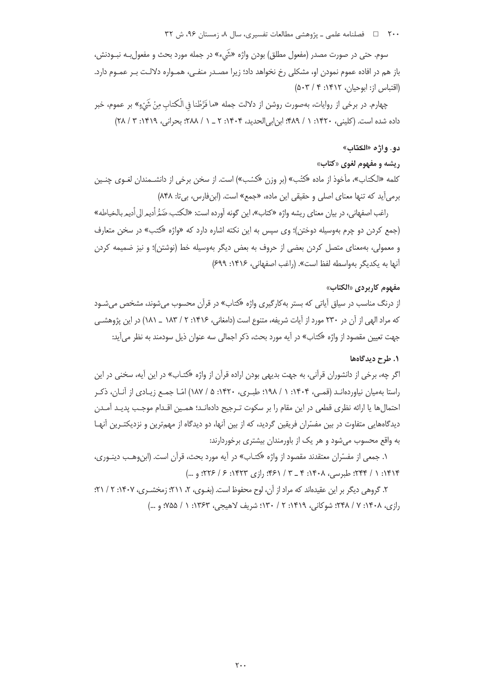۲۰۰ □ فصلنامه علمی ـ پژوهشی مطالعات تفسیری، سال ۸، زمستان ۹۶، ش ۳۲

سوم. حتی در صورت مصدر (مفعول مطلق) بودن واژه «شَيء» در جمله مورد بحث و مفعول بــه نبــودنش، باز هم در افاده عموم نمودن او، مشكلي رخ نخواهد داد؛ زيرا مصـدر منفـي، همـواره دلالـت بـر عمـوم دارد. (اقتباس از: ابوحیان، ۱۴۱۲: ۴ / ۵۰۳)

چهارم. در برخي از روايات، بهصورت روشن از دلالت جمله «ما فَرَّطْنا في الْكتاب مِنْ شَيْءٍ» بر عموم، خبر داده شده است. (کلینی، ۱۴۲۰: ۱ / ۴۸۹؛ ابن ابی الحدید، ۱۴۰۴: ۲ \_ ۱ / ۲۸۸؛ بحرانی، ۱۴۱۹: ۳ / ۲۸)

## دو. واژه «الكتاب»

### ريشه و مفهوم لغوي «كتاب»

كلمه «الكتاب»، مأخوذ از ماده «كتُب» (بر وزن «كسُب») است. از سخن برخي از دانشــمندان لغــوي چنــين برمی آید که تنها معنای اصلی و حقیقی این ماده، «جمع» است. (ابنفارس، بی تا: ۸۴۸)

راغب اصفهاني، در بيان معناي ريشه واژه «كتاب»، اين گونه آورده است: «الكتب: ضَمُّ أديم الى أديم بالخياطه» (جمع کردن دو چرم بهوسیله دوختن)؛ وی سپس به این نکته اشاره دارد که «واژه «کتب» در سخن متعارف و معمولی، بهمعنای متصل کردن بعضی از حروف به بعض دیگر بهوسیله خط (نوشتن)؛ و نیز ضمیمه کردن آنها به یکدیگر بهواسطه لفظ است». (راغب اصفهانی، ۱۴۱۶: ۶۹۹)

#### مفهوم كاربردي «الكتاب»

از درنگ مناسب در سیاق آیاتی که بستر بهکارگیری واژه «کتاب» در قرآن محسوب میشوند، مشخص میشـود که مراد الهی از آن در ۲۳۰ مورد از آیات شریفه، متنوع است (دامغانی، ۱۴۱۶: ۲ / ۱۸۳ \_ ۱۸۱) در این پژوهشـی جهت تعیین مقصود از واژه «کتاب» در آیه مورد بحث، ذکر اجمالی سه عنوان ذیل سودمند به نظر می آید:

#### ١. طرح ديدگاهها

اگر چه، برخی از دانشوران قرآنی، به جهت بدیهی بودن اراده قرآن از واژه «کتـاب» در این آیه، سخنی در این راستا بهمیان نیاوردهانـد (قمـی، ۱۴۰۴: ۱ / ۱۹۸؛ طبـری، ۱۴۲۰: ۵ / ۱۸۷) امّـا جمـع زیـادی از آنـان، ذکـر احتمالها يا ارائه نظري قطعي در اين مقام را بر سكوت تـرجيح دادهانـد؛ همـين اقـدام موجـب پديـد آمـدن دیدگاههایی متفاوت در بین مفسّران فریقین گردید، که از بین آنها، دو دیدگاه از مهمترین و نزدیکتـرین آنهـا به واقع محسوب میشود و هر یک از باورمندان بیشتری برخوردارند:

۱. جمعی از مفسّران معتقدند مقصود از واژه «کتـاب» در آیه مورد بحث، قرآن است. (ابن<code>وهـب دینـوری،</code> ۱۴۱۴: ۱ / ۲۴۴؛ طبرسی، ۱۴۰۸: ۴ \_ ۳ / ۴۶۱: رازی ۱۴۲۳: ۶ / ۲۲۶؛ و …)

٢. گروهي ديگر بر اين عقيدهاند كه مراد از آن، لوح محفوظ است. (بغـوي، ٢، ٢١١: زمخشـري، ١۴٠٧: ٢ / ٢١: رازي، ١۴٠٨: ٧ / ٢٤٨: شوكاني، ١۴١٩: ٢ / ١٣٠: شريف لاهيجي، ١٣۶٣: ١ / ٧۵۵: و ...)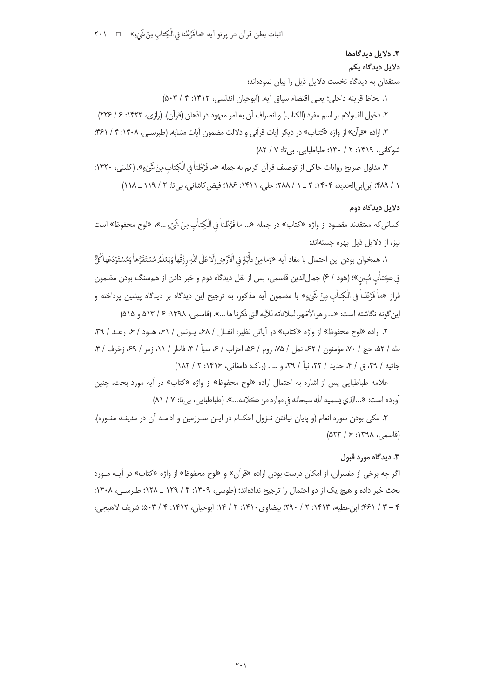# ٢. دلايل ديدگاهها دلايل ديدگاه يکم

معتقدان به دیدگاه نخست دلایل ذیل را بیان نمودهاند:

١. لحاظ قرينه داخلي؛ يعني اقتضاء سياق آيه. (ابوحيان اندلسي، ١۴١٢: ٣ / ٥٠٣)

٢. دخول الف1و<1 بر اسم مفرد (الكتاب) و انصراف آن به امر معهود در اذهان (قرآن). (رازي، ١٣٢٣: ۶ / ٢٢۶) ۳. اراده «قرآن» از واژه «کتـاب» در ديگر آيات قرآني و دلالت مضمون آيات مشابه. (طبرسـي، ۱۴۰۸: ۴ / ۴۶۱:

شوكانى، ١٣١٩: ٢ / ١٣٠؛ طباطبايي، بي تا: ٧ / ٨٢)

۴. مدلول صريح روايات حاكي از توصيف قرآن كريم به جمله «ماْ فَرَّطْناْ في الْكِتاٰب مِنْ شَيْءٍ». (كليني، ١۴٢٠: ١ / ٩٨٩؛ ابن إبي الحديد، ١٤٠۴: ٢ \_ ١ / ٢٨٨؛ حلي، ١٤١١: ١٨۶؛ فيض كاشاني، بي تا: ٢ / ١١٩ \_ ١١٨ )

## دلاىل دىدگاه دوم

كساني كه معتقدند مقصود از واژه «كتاب» در جمله «... ماٰ فَرَّطْناٰ فِي الْكِتاٰبِ مِنْ شَيْءٍ ...»، «لوح محفوظ» است نیز، از دلایل ذیل بهره جستهاند:

١. همخوان بودن اين احتمال با مفاد آيه «وَماٰمِنْ داَّبَّةٍ فِي الْاَرْضِ اِلَّا عَلَى اللَّهِ رِزْقُهاٰ وَيَعْلَمُ مُسْتَقَرَّهاْ وَمُسْتَوْدَعَهاٰكُلُّ في كِتاٰب مُبِين»؛ (هود / ۶) جمالالدين قاسمي، پس از نقل ديدگاه دوم و خبر دادن از همسنگ بودن مضمون فراز «ماٰ فَرَّطْناٰ في الْكِتاٰبِ مِنْ شَيْءٍ» با مضمون آيه مذكور، به ترجيح اين ديدگاه بر ديدگاه پيشين پرداخته و اين گونه نگاشته است: «... و هو الأظهر، لملاقاته للآيه التي ذكرنا ها ...». (قاسمي، ١٣٩٨: ۶/ ٥١٣ و ٥١٥)

۲. اراده «لوح محفوظ» از واژه «کتاب» در آیاتی نظیر: انفـال / ۶۸، پـونس / ۶۱، هـود / ۶، رعـد / ۳۹، طه / ۵۲، حج / ۷۰، مؤمنون / ۶۲، نمل / ۷۵، روم / ۵۶، احزاب / ۶، سبأ / ۳، فاطر / ۱۱، زمر / ۶۹، زخرف / ۴، جاثيه / ٢٩، ق / ۴، حديد / ٢٢، نبأ / ٢٩، و … . (ر.ک: دامغاني، ١٣١۶: ٢ / ١٨٢)

علامه طباطبایی پس از اشاره به احتمال اراده «لوح محفوظ» از واژه «کتاب» در آیه مورد بحث، چنین أورده است: «...الذي يسميه الله سبحانه في موارد من كلامه...». (طباطبايي، بيتا: ٧ / ٨١)

۳. مکی بودن سوره انعام (و پایان نیافتن نـزول احکـام در ایـن سـرزمین و ادامـه آن در مدینـه منـوره). (قاسمی، ۱۳۹۸: ۶/ ۵۲۳)

#### ۰۳ دیدگاه مورد قبول

اگر چه برخی از مفسران، از امکان درست بودن اراده «قرآن» و «لوح محفوظ» از واژه «کتاب» در آیـه مـورد بحث خبر داده و هیچ یک از دو احتمال را ترجیح ندادهاند؛ (طوسی، ۱۴۰۹: ۴ / ۱۲۹ ـ ۱۲۸؛ طبرسـی، ۱۴۰۸: ۴ – ۳ / ۴۶۱؛ ابن عطيه، ۱۴۱۳: ۲ / ۲۹۰؛ بيضاوى ۱۴۱۰: ۲ / ۱۴)؛ ابوحيان، ۱۴۱۲: ۴ / ۵۰۳. شريف لاهيجي،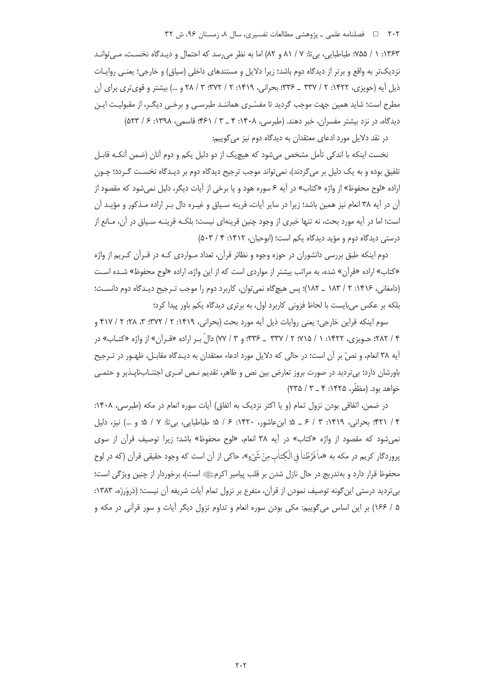## ۲۰۲ = فصلنامه علمی ـ پژوهشی مطالعات تفسیری، سال ۸، زمستان ۹۶، ش ۳۲

۱۳۶۳: ۱ / ۷۵۵؛ طباطبایی، بی تا: ۷ / ۸۱ و ۸۲) اما به نظر می رسد که احتمال و دیـدگاه نخسـت، مـی توانـد نزدیکتر به واقع و برتر از دیدگاه دوم باشد؛ زیرا دلایل و مستندهای داخلی (سیاق) و خارجی؛ یعنبی روایـات ذیل آیه (جویزی، ۱۴۲۲: ۲ / ۳۳۷ \_ ۳۳۶: بحرانی، ۱۴۱۹: ۲ / ۳۷۲: ۳ / ۲۸ و …) بیشتر و قوی تری برای آن مطرح است؛ شاید همین جهت موجب گردید تا مفسّـری هماننـد طبرسـی و برخـی دیگـر، از مقبولیـت ایـن دیدگاه، در نزد بیشتر مفسران، خبر دهند. (طبرسی، ۱۴۰۸: ۴ \_ ۳ / ۴۶۱: قاسمی، ۱۳۹۸: ۶ / ۵۲۳)

در نقد دلایل مورد ادعای معتقدان به دیدگاه دوم نیز میگوییم:

نخست اینکه با اندکی تأمل مشخص میشود که هیچیک از دو دلیل یکم و دوم آنان (ضمن آنکـه قابـل تلفيق بوده و به يک دليل بر مي گردند)، نمي تواند موجب ترجيح ديدگاه دوم بر ديـدگاه نخسـت گـردد؛ چـون اراده «لوح محفوظ» از واژه «کتاب» در آیه ۶ سوره هود و یا برخی از آیات دیگر، دلیل نمیشود که مقصود از آن در آیه ۳۸ انعام نیز همین باشد؛ زیرا در سایر آیات، قرینه سـیاق و غیـره دال بـر اراده مـذکور و مؤیـد آن است؛ اما در آیه مورد بحث، نه تنها خبری از وجود چنین قرینهای نیست؛ بلکـه قرینـه سـیاق در آن، مـانع از درستی دیدگاه دوم و مؤید دیدگاه یکم است؛ (ابوحیان، ۱۴۱۲: ۴ / ۵۰۳)

دوم اینکه طبق بررسی دانشوران در حوزه وجوه و نظائر قرآن، تعداد مـواردی کـه در قـرآن کـریم از واژه «کتاب» اراده «قرآن» شده، به مراتب بیشتر از مواردی است که از این واژه، اراده «لوح محفوظ» شـده اسـت (دامغانی، ۱۴۱۶: ۲ / ۱۸۳ \_ ۱۸۲)؛ پس هیچگاه نمی توان، کاربرد دوم را موجب تـرجیح دیـدگاه دوم دانسـت؛ بلکه بر عکس میبایست با لحاظ فزونی کاربرد اول، به برتری دیدگاه یکم باور پیدا کرد؛

سوم اینکه قراین خارجی؛ یعنی روایات ذیل آیه مورد بحث (بحرانی، ۱۴۱۹: ۲ / ۳۷۲: ۳، ۲۸؛ ۲ / ۴۱۷ و ۴ / ۲۸۲؛ حـویزی، ۱۴۲۲: ۱ / ۲۵۵؛ ۲ / ۳۳۷ \_ ۳۳۶؛ و ۳ / ۷۷) دالّ بـر اراده «قـرآن» از واژه «کتــاب» در آيه ٣٨ انعام، و نصِّ بر آن است؛ در حالي كه دلايل مورد ادعاء معتقدان به ديـدگاه مقابـل، ظهـور در تـرجيح باورشان دارد؛ بیتردید در صورت بروز تعارض بین نص و ظاهر، تقدیم نـص امـری اجتنـابIناپـذیر و حتمـی خواهد بود. (مظفَّر، ١٤٢٥: ٤ \_ ٣ / ٢٣٥)

در ضمن، اتفاقی بودن نزول تمام (و یا اکثر نزدیک به اتفاق) آیات سوره انعام در مکه (طبرسی، ۱۴۰۸: ۴/ ۴۲۱؛ بحرانی، ۱۴۱۹: ۳ / ۶ ـ ۵؛ ابنِ عاشور، ۱۴۲۰: ۶ / ۵؛ طباطبایی، بی¤: ۷ / ۵؛ و …) نیز، دلیل نمی شود که مقصود از واژه «کتاب» در آیه ۳۸ انعام، «لوح محفوظ» باشد؛ زیرا توصیف قرآن از سوی پروردگار کریم در مکه به «ماٰ فَرَّطْناٰ فِی الْکِتاٰب مِنْ شَیْءٍ»، حاکی از آن است که وجود حقیقی قرآن (که در لوح محفوظ قرار دارد و بهتدریج در حال نازل شدن بر قلب پیامبر اکرمﷺ است)، برخوردار از چنین ویژگی است؛ بي ترديد درستي اين گونه توصيف نمودن از قرآن، متفرع بر نزول تمام آيات شريفه آن نيست؛ (دَروَرزَه، ١٣٨٣: ۵ / ۱۶۶) بر این اساس می گوییم: مکی بودن سوره انعام و تداوم نزول دیگر آیات و سور قرآنی در مکه و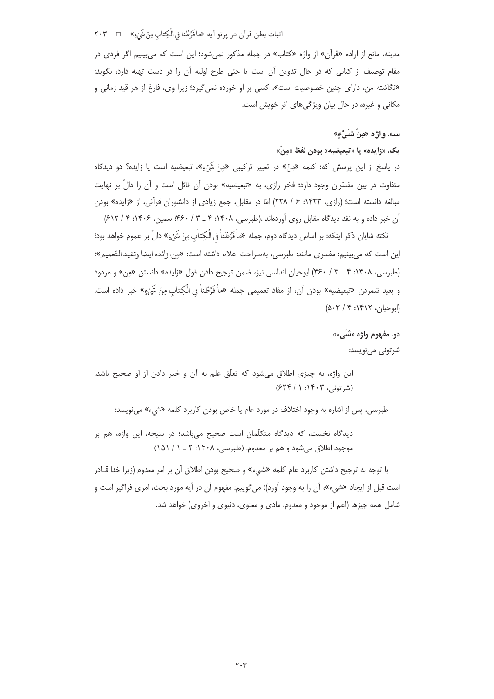اثبات بطن قرآن در پرتو آيه «ما فَرَّطْنا في الْكِتاب مِنْ شَيْءٍ» □ ٢٠٣

مدینه، مانع از اراده «قرآن» از واژه «کتاب» در جمله مذکور نمی شود؛ این است که می بینیم اگر فردی در مقام توصيف از كتابي كه در حال تدوين آن است يا حتى طرح اوليه آن را در دست تهيه دارد، بگويد: «نگاشته من، دارای چنین خصوصیت است»، کسی بر او خورده نمی گیرد؛ زیرا وی، فارغ از هر قید زمانی و مکانی و غیره، در حال بیان ویژگی های اثر خویش است.

# سه. واژه «مِنْ شَيْءِ»

يک. «زايده» يا «تبعيضيه» بودن لفظ «منْ»

در پاسخ از این پرسش که: کلمه «مِنٌ» در تعبیر ترکیبی «مِنْ شَیْءٍ»، تبعیضیه است یا زایده؟ دو دیدگاه متفاوت در بین مفسّران وجود دارد؛ فخر رازی، به «تبعیضیه» بودن آن قائل است و آن را دالٌ بر نهایت مبالغه دانسته است؛ (رازی، ۱۴۲۳: ۶ / ۲۲۸) امّا در مقابل، جمع زیادی از دانشوران قرآنی، از «زایده» بودن آن خبر داده و به نقد دیدگاه مقابل روی آوردهاند .(طبرسی، ۱۴۰۸: ۴ \_ ۳ / ۴۶۰: سمین، ۱۴۰۶: ۴ / ۶۱۲)

نكته شايان ذكر اينكه: بر اساس ديدگاه دوم، جمله «ماْ فَرَّطْناْ في الْكِتاٰبِ مِنْ شَيْءٍ» دالّ بر عموم خواهد بود؛ اين است كه مىبينيم: مفسرى مانند: طبرسي، بهصراحت اعلام داشته است: «مِن، زائده ايضا وتفيد التّعميم»؛ (طبرسی، ۱۴۰۸: ۴ \_ ۳ / ۴۶۰) ابوحیان اندلسی نیز، ضمن ترجیح دادن قول «زایده» دانستن «من» و مردود و بعيد شمردن «تبعيضيه» بودن آن، از مفاد تعميمي جمله «ماْ فَرَّطْناْ فِي الْكِتابِ مِنْ شَيْءٍ» خبر داده است.  $(0.5 \times 1 \times 1)$  (المحيان)

> دو. مفهوم واژه «شَيء» شرتونی مینویسد:

این واژه، به چیزی اطلاق می شود که تعلّق علم به آن و خبر دادن از او صحیح باشد. (شرتونی، ۱۴۰۳: ۶۲۴ / ۶۲۴)

طبرسی، پس از اشاره به وجود اختلاف در مورد عام یا خاص بودن کاربرد کلمه «شیء» میiویسد:

دیدگاه نخست، که دیدگاه متکلّمان است صحیح میباشد؛ در نتیجه، این واژه، هم بر موجود اطلاق می شود و هم بر معدوم. (طبرسی، ۱۴۰۸: ۲ ـ ۱/ ۱۵۱)

با توجه به ترجیح داشتن کاربرد عام کلمه «شیء» و صحیح بودن اطلاق آن بر امر معدوم (زیرا خدا قــادر است قبل از ايجاد «شيء»، آن را به وجود آورد)؛ مي گوييم: مفهوم آن در آيه مورد بحث، امرى فراگير است و شامل همه چیزها (اعم از موجود و معدوم، مادی و معنوی، دنیوی و اخروی) خواهد شد.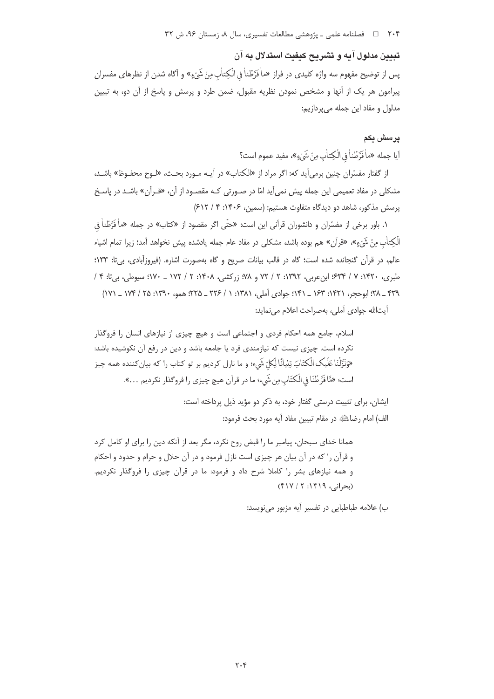تبیین مدلول آیه و تشریح کیفیت استدلال به آن پس از توضیح مفهوم سه واژه کلیدی در فراز «ماٰ فَرَّطْناٰ فِی الْکِتاٰبِ مِنْ شَیْءٍ» و آگاه شدن از نظرهای مفسران پیرامون هر یک از آنها و مشخص نمودن نظریه مقبول، ضمن طرد و پرسش و پاسخ از آن دو، به تبیین مدلول و مفاد این جمله می پردازیم:

# پرسش بکم

أيا جمله «ماْ فَرَّطْناْ في الْكِتاٰبِ مِنْ شَيْءٍ»، مفيد عموم است؟

از گفتار مفسّران چنین برمیآید که: اگر مراد از «الکتاب» در آیـه مـورد بحـث، «لـوح محفـوظ» باشـد، مشکلی در مفاد تعمیمی این جمله پیش نمیآید امّا در صـورتی کـه مقصـود از آن، «قـرآن» باشـد در پاسـخ پرسش مذکور، شاهد دو دیدگاه متفاوت هستیم: (سمین، ۱۴۰۶: ۴ / ۶۱۲)

۱. باور برخی از مفسّران و دانشوران قرآنی این است: «حتّی اگر مقصود از «کتاب» در جمله «ماْ فَرَّطْناْ في الْكِتاٰب منْ شَيْءٍ»، «قرآن» هم بوده باشد، مشكلي در مفاد عام جمله يادشده پيش نخواهد آمد؛ زيرا تمام اشياء عالم، در قرآن گنجانده شده است؛ گاه در قالب بیانات صریح و گاه بهصورت اشاره. (فیروزآبادی، بی تا: ۱۳۳؛ طبري، ١٣٢٠: ٧ / ۶۳۴؛ ابن عربي، ١٣٩٢: ٢ / ٧٢ و ٧٨؛ زركشي، ١٤٠٨: ٢ / ١٧٢ ــ ١٧٠؛ سيوطي، بي تا: ۴ / ٣٣٩ \_ ٢٨: ابوحجر، ١٣٢١: ١٤٣ \_ ١٤١: جوادي آملي، ١٣٨١: ١ / ٢٢۶ \_ ٢٢۵: همو، ١٣٩٠: ٢۵ / ١٧۴ \_ ١٧١)

آيتالله جوادي آملي، بهصراحت اعلام مي نمايد:

اسلام، جامع همه احکام فردی و اجتماعی است و هیچ چیزی از نیازهای انسان را فروگذار نکرده است. چیزی نیست که نیازمندی فرد یا جامعه باشد و دین در رفع آن نکوشیده باشد: «وَنَزَّلْنَا عَلَيكِ الْكِتَابَ تِبْيانًا لِّكلّ شَيء؛ و ما نارل كرديم بر تو كتاب ,ا كه بيان كننده همه چيز است؛ «مَّافَرَّطْنَا في الْكتَابِ مِن شَيء؛ ما در قرآن هيچ چيزي را فروگذار نكرديم …».

> ایشان، برای تثبیت درستی گفتار خود، به ذکر دو مؤید ذیل پرداخته است: الف) امام رضاءللهِ در مقام تبيين مفاد آيه مورد بحث فرمود:

همانا خدای سبحان، پیامبر ما را قبض روح نکرد، مگر بعد از آنکه دین را برای او کامل کرد و قرآن را كه در آن بيان هر چيزي است نازل فرمود و در آن حلال و حرام و حدود و احكام و همه نیازهای بشر را کاملا شرح داد و فرمود: ما در قرآن چیزی را فروگذار نکردیم. (بحرانی، ۱۴۱۹: ۴۱۷/۲)

ب) علامه طباطبايي در تفسير آيه مزبور مي نويسد: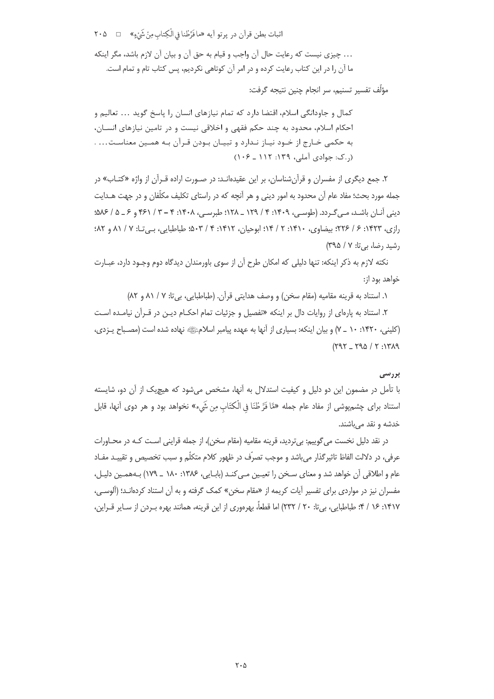اثبات بطن قرآن در پرتو آيه «مافَرَّطْنا في الْكِتاب مِنْ شَيْءٍ» □ △ ٢٠ ... چیزی نیست که رعایت حال آن واجب و قیام به حق آن و بیان آن لازم باشد، مگر اینکه ما آن را در این کتاب رعایت کرده و در امر آن کوتاهی نکردیم، پس کتاب تام و تمام است.

مؤلِّف تفسير تسنيم، سر انجام چنين نتيجه گرفت:

کمال و جاودانگی اسلام، اقتضا دارد که تمام نیازهای انسان را پاسخ گوید … تعالیم و احکام اسلام، محدود به چند حکم فقهی و اخلاقی نیست و در تامین نیازهای انسـان، به حکمی خـارج از خـود نيـاز نـدارد و تبيـان بـودن قـرآن بـه همـين معناسـت... . (ر.ک: جوادی آملی، ۱۳۹: ۱۱۲ ـ ۱۰۶)

۲. جمع دیگری از مفسران و قرآن شناسان، بر این عقیدهانید: در صبورت اراده قبرآن از واژه «کتباب» در جمله مورد بحث؛ مفاد عام آن محدود به امور دینی و هر آنچه که در راستای تکلیف مکلّفان و در جهت هــدایت دینی آنـان باشـد، مـی گـردد. (طوسـی، ۱۴۰۹: ۴ / ۱۲۹ \_ ۱۲۸: طبرسـی، ۱۴۰۸: ۴ – ۳ / ۴۶۱ و ۶ \_ ۵/ ۵۸۶: رازي، ١٤٢٣: ۶ / ٢٢۶؛ بيضاوي، ١٤١٠: ٢ / ١٤: ابوحيان، ١٤١٢: ٤ / ٥٠٣. طباطبايي، بي تـ١: ٧ / ٨١. و ٨٢: رشید رضا، بی تا: ۷ / ۳۹۵)

نکته لازم به ذکر اینکه: تنها دلیلی که امکان طرح آن از سوی باورمندان دیدگاه دوم وجـود دارد، عبـارت خواهد بود از:

١. استناد به قرينه مقاميه (مقام سخن) و وصف هدايتي قرآن. (طباطبايي، بي تا: ٧ / ٨١ و ٨٢)

۲. استناد به پارهای از روایات دال بر اینکه «تفصیل و جزئیات تمام احکـام دیـن در قـرآن نیامـده اسـت (کلینی، ۱۴۲۰: ۱۰ \_ ۷) و بیان اینکه: بسیاری از آنها به عهده پیامبر اسلامﷺ نهاده شده است (مصـباح پـزدی،  $(191 - 190 / 7.1194)$ 

#### بررسی

با تأمل در مضمون این دو دلیل و کیفیت استدلال به آنها، مشخص میشود که هیچیک از آن دو، شایسته استناد براي چشمپوشي از مفاد عام جمله «مَّا فَرَّ طْنَا في الْكتَاب مِن شَيء» نخواهد بود و هر دوي آنها، قابل خدشه و نقد مے باشند.

در نقد دلیل نخست می گوییم: بی تردید، قرینه مقامیه (مقام سخن)، از جمله قراینی است کـه در محـاورات عرفي، در دلالت الفاظ تاثيرگذار ميباشد و موجب تصرّف در ظهور كلام متكلّم و سبب تخصيص و تقييـد مفـاد عام و اطلاقی آن خواهد شد و معنای سـخن را تعیـین مـی کنـد (بابـایی، ۱۳۸۶: ۱۸۰ ـ ۱۷۹) بـههمـین دلیـل، مفسران نیز در مواردی برای تفسیر آیات کریمه از «مقام سخن» کمک گرفته و به آن استناد کردهانـد؛ (آلوسـی، ۱۴۱۷: ۱۶ / ۴: طباطبایی، بیiتا: ۲۰ / ۲۳۲) اما قطعاً، بهرهوری از این قرینه، همانند بهره بـردن از سـایر قـراین،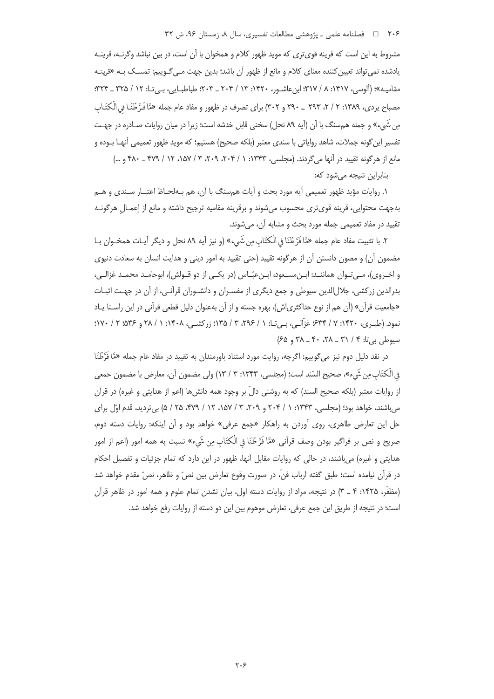## ۲۰۶ = □ فصلنامه علمی ـ یژوهشی مطالعات تفسیری، سال ۸، زمستان ۹۶، ش ۳۲

مشروط به این است که قرینه قویتری که موید ظهور کلام و همخوان با آن است، در بین نباشد وگرنـه، قرینـه یادشده نمی تواند تعیین کننده معنای کلام و مانع از ظهور آن باشد؛ بدین جهت مـی *گـ*وییم: تمســک بــه «قرینـه مقامية»؛ (ألوسه، ١٣١٧، ٨ / ٣١٧؛ ابن عاشيو، ١٣٢٠: ١٣ / ٢٠۴ \_ ٢٠٣؛ طباطيابي، بيرتيا: ١٢ / ٣٢٥ \_ ٣٢۴: مصباح یزدی، ۱۳۸۹: ۲ / ۲، ۲۹۳ \_ ۲۹۰ و ۳۰۲) برای تصرف در ظهور و مفاد عام جمله «مَّا فَـرَّ طُنَـا في الْكتَـابِ من شَيَء» و جمله هم سنگ با آن (آيه ٨٩ نحل) سخني قابل خدشه است؛ زيرا در ميان روايات صـادره در جهـت تفسير ابن گونه حملات، شاهد رواياتي با سندي معتبر (بلكه صحيح) هستيم؛ كه مويد ظهور تعميمي آنهيا ب1ود و مانع از هرگونه تقیید در آنها میگردند. (مجلسی، ۱۳۴۳: ۱ / ۲۰۴، ۲۰۹، ۳ / ۱۵۷، ۱۲ / ۴۷۹ \_ ۴۸۰ و ...)

بنابراین نتیجه میشود که:

١. روايات مؤيد ظهور تعميمي آيه مورد بحث و آيات همسنگ با آن، هم بـهلحـاظ اعتبـار سـندي و هــم بهجهت محتوايي، قرينه قوىترى محسوب مىشوند و برقرينه مقاميه ترجيح داشته و مانع از اِعمـال هرگونــه تقیید در مفاد تعمیمی جمله مورد بحث و مشابه آن، می شوند.

٢. با تثبيت مفاد عام جمله «مَّا فَرَّ طْنَا فِي الْكتَابِ مِن شَيٍّء» (و نيز أيه ٨٩ نحل و ديگر أيـات همخـوان بـا مضمون آن) و مصون دانستن آن از هرگونه تقیید (حتی تقیید به امور دینی و هدایت انسان به سعادت دنیوی و اخـروي)، مـي تـوان هماننـد: ابـن مسـعود، ابـن عبّـاس (در يكـي از دو قـولش)، ابوحامـد محمـد غزالـي، بدرالدین زرکشی، جلال الدین سیوطی و جمع دیگری از مفسـران و دانشـوران قرآنـی، از آن در جهـت اثبـات «جامعیت قرآن» (آن هم از نوع حداکثری|ش)، بهره جسته و از آن بهعنوان دلیل قطعی قرآنی در این راسـتا پـاد نمود. (طبيري، ١۴٢٠: ٧ / ۶۳۴؛ غزَّالبي، بي تـا: ١ / ٢٩٤، ٣ / ١٣۵؛ زركشبي، ١۴٠٨: ١ / ٢٨ و ٣٥٤؛ ٢ / ١٧٠؛ سیوطی بی تا: ۴ / ۳۱ \_ ۲۸، ۴۰ \_ ۳۸ و ۶۵)

در نقد دلیل دوم نیز میگوییم: اگرچه، روایت مورد استناد باورمندان به تقیید در مفاد عام جمله «مَّا فَرَّطْنَا في الْكتَاب مِن شَيء»، صحيح السّند است؛ (مجلسي، ١٣۴٣: ٣ / ١٣) ولي مضمون آن، معارض با مضمون حمعي از روایات معتبر (بلکه صحیح السند) که به روشنی دالّ بر وجود همه دانش ها (اعم از هدایتی و غیره) در قرآن می باشند، خواهد بود؛ (مجلسی، ۱۳۴۳: ۱ / ۲۰۴ و ۲۰۴، ۳ / ۱۵۷، ۱۲ / ۴۷۹، ۲۵ / ۵) بی تردید، قدم اوّل برای حل این تعارض ظاهری، روی آوردن به راهکار «جمع عرفی» خواهد بود و آن اینکه: روایات دسته دوم، صريح و نص بر فراگير بودن وصف قرآني «مَّا فَرَّ طُنَا في الْكتَاب مِن شَيء» نسبت به همه امور (اعم از امور هدایتی و غیره) می باشند، در حالی که روایات مقابل آنها، ظهور در این دارد که تمام جزئیات و تفصیل احکام در قرآن نيامده است؛ طبق گفته ارباب فنّ، در صورت وقوع تعارض بين نصّ و ظاهر، نصّ مقدم خواهد شد (مظفَّر، ۱۴۲۵: ۴ \_ ۳) در نتيجه، مراد از روايات دسته اول، بيان نشدن تمام علوم و همه امور در ظاهر قرآن است؛ در نتیجه از طریق این جمع عرفی، تعارض موهوم بین این دو دسته از روایات رفع خواهد شد.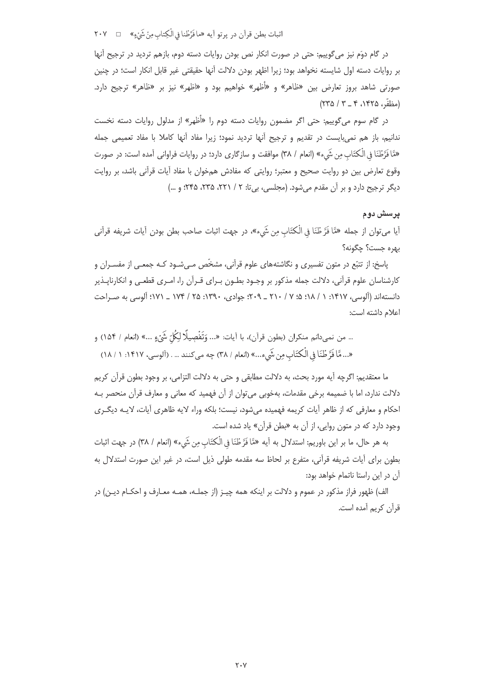اثبات بطن قرآن در پرتو آيه «مافَرَّطْنا في الْكِتاب مِنْ شَيْءٍ» □ ٢٠٧

در گام دوَم نیز میگوییم: حتی در صورت انکار نص بودن روایات دسته دوم، بازهم تردید در ترجیح آنها بر روايات دسته اول شايسته نخواهد بود؛ زيرا اظهر بودن دلالت آنها حقيقتي غير قابل انكار است؛ در چنين صورتی شاهد بروز تعارض بین «ظاهر» و «أظهر» خواهیم بود و «اظهر» نیز بر «ظاهر» ترجیح دارد. (مظفّر، ۱۴۲۵، ۴ \_ ۳ / ۲۳۵)

در گام سوم میگوییم: حتی اگر مضمون روایات دسته دوم را «أظهر» از مدلول روایات دسته نخست ندانیم، باز هم نمیبایست در تقدیم و ترجیح آنها تردید نمود؛ زیرا مفاد آنها کاملا با مفاد تعمیمی جمله «مَّا فَرَّطْنَا فِي الْكْتَابِ مِن شَيءِ» (انعام / ٣٨) موافقت و سازگاري دارد؛ در روايات فراواني آمده است: در صورت وقوع تعارض بین دو روایت صحیح و معتبر؛ روایتی که مفادش همخوان با مفاد آیات قرآنی باشد، بر روایت دیگر ترجیح دارد و بر آن مقدم می شود. (مجلسی، بی تا: ۲ / ۲۲۱، ۲۳۵، ۲۴۵؛ و ...)

## پرسش دوم

آيا ميتوان از جمله «مَّا فَرَّ طْنَا في الْكتَاب مِن شَيء»، در جهت اثبات صاحب بطن بودن آيات شريفه قرآني بهره جست؟ چگونه؟

یاسخ: از تتبّع در متون تفسیری و نگاشتههای علوم قرآنی، مشخّص مـی شـود کـه جمعـی از مفسـران و کارشناسان علوم قرآنی، دلالت جمله مذکور بر وجـود بطـون بـرای قـرآن را، امـری قطعـی و انکارنایـذیر دانستهاند (آلوسی، ۱۴۱۷: ۱ / ۱۸؛ ۵؛ ۲ / ۲۱۰ \_ ۲۰۹: جوادی، ۱۳۹۰: ۲۵ / ۱۷۴ \_ ۱۷۱؛ آلوسی به صـراحت اعلام داشته است:

... من نميدانم منكران (بطون قرآن)، با آيات: «... وَتَفْصِيلًا لِكُلّ شَيْءٍ ...» (انعام / ١۵۴) و «...مَّا فَرَّ طُنَا فِي الْكتَابِ مِن شَيء...» (انعام / ٣٨) چه مي كنند … . (آلوسي، ١٤١٧: ١ / ١٨)

ما معتقديم: اگرچه آيه مورد بحث، به دلالت مطابقي و حتى به دلالت التزامي، بر وجود بطون قرآن كريم دلالت ندارد، اما با ضمیمه برخی مقدمات، بهخوبی می¤وان از آن فهمید که معانی و معارف قرآن منحصر بـه احکام و معارفی که از ظاهر آیات کریمه فهمیده می شود، نیست؛ بلکه وراء لایه ظاهری آیات، لایـه دیگـری وجود دارد که در متون روایی، از آن به «بطن قرآن» یاد شده است.

به هر حال، ما بر اين باوريم: استدلال به أيه «مَّا فَرَّطْنَا في الْكتَابِ مِن شَيءٍ» (انعام / ٣٨) در جهت اثبات بطون برای آیات شریفه قرآنی، متفرع بر لحاظ سه مقدمه طولی ذیل است، در غیر این صورت استدلال به آن در این راستا ناتمام خواهد بود:

الف) ظهور فراز مذکور در عموم و دلالت بر اینکه همه چیـز (از جملـه، همـه معـارف و احکـام دیـن) در قرآن کریم آمده است.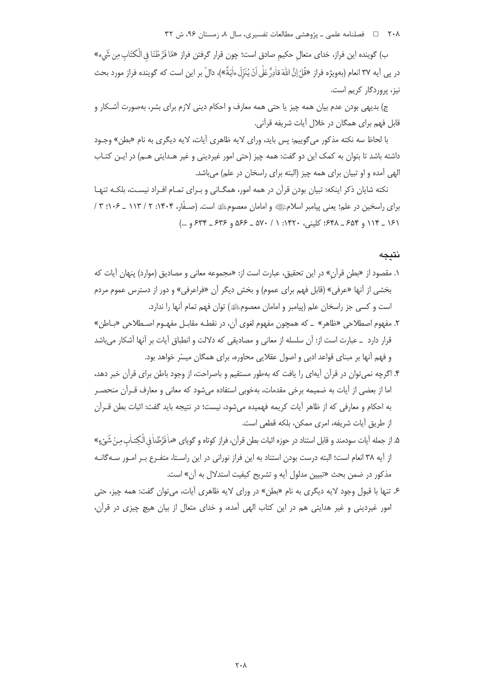۲۰۸ = ه فصلنامه علمی ـ پژوهشی مطالعات تفسیری، سال ۸، زمستان ۹۶، ش ۳۲

ب) گوينده اين فراز، خداي متعال حكيم صادق است؛ چون قرار گرفتن فراز «مَّا فَرَّطْنَا في الْكتَاب مِن شَيء» در پي آيه ٣٧ انعام (بهويژه فراز «قُلْ إنَّ اللهَ قاٰدِرٌّ عَلَى اَنْ يُنَزِّلَ ءاٰيَةً»)، دالّ بر اين است كه گوينده فراز مورد بحث نیز، پروردگار کریم است.

ج) بديهي بودن عدم بيان همه چيز يا حتى همه معارف و احكام ديني لازم براي بشر، بهصورت آشـكار و قابل فهم برای همگان در خلال آیات شریفه قرآنی.

با لحاظ سه نكته مذكور مي گوييم: پس بايد، وراي لايه ظاهري آيات، لايه ديگري به نام «بطن» وجـود داشته باشد تا بتوان به کمک این دو گفت: همه چیز (حتی امور غیردینی و غیر هـدایتی هـم) در ایـن کتـاب الهی آمده و او تبیان برای همه چیز (البته برای راسخان در علم) میباشد.

نکته شایان ذکر اینکه: تبیان بودن قرآن در همه امور، همگـانی و بـرای تمـام افـراد نیسـت، بلکـه تنهـا برای راسخین در علم؛ یعنی پیامبر اسلامﷺ و امامان معصومﷺ است. (صـفَّار، ۱۴۰۴: ۲ / ۱۱۳ ـ ۱۰۶: ۳ / ١۶١ \_ ١١۴ و ٤٥۴ \_ ٤٣٨: كليني، ١۴٢٠: ١ / ٥٧٠ \_ ٥۶۶ و ٤٣۶ \_ ۶٣٤ و ...)

نتبجه

- ١. مقصود از «بطن قرآن» در اين تحقيق، عبارت است از: «مجموعه معاني و مصاديق (موارد) پنهان آيات كه بخشي از آنها «عرفي» (قابل فهم براي عموم) و بخش ديگر آن «فراعرفي» و دور از دسترس عموم مردم است و کسی جز راسخان علم (پیامبر و امامان معصومﷺ) توان فهم تمام آنها را ندارد.
- ٢. مفهوم اصطلاحي «ظاهر» \_ كه همچون مفهوم لغوى آن، در نقطـه مقابـل مفهـوم اصـطلاحي «بـاطن» قرار دارد \_ عبارت است از: آن سلسله از معانی و مصادیقی که دلالت و انطباق آیات بر آنها آشکار می باشد و فهم آنها بر مبنای قواعد ادبی و اصول عقلایی محاوره، برای همگان میسّر خواهد بود.
- ۴. اگرچه نمی توان در قرآن آیهای را یافت که بهطور مستقیم و باصراحت، از وجود باطن برای قرآن خبر دهد، اما از بعضی از آیات به ضمیمه برخی مقدمات، بهخوبی استفاده می شود که معانی و معارف قــرآن منحصــر به احکام و معارفی که از ظاهر آیات کریمه فهمیده میشود، نیست؛ در نتیجه باید گفت: اثبات بطن قــرآن از طريق آيات شريفه، امري ممكن، بلكه قطعي است.
- ۵. از جمله آيات سودمند و قابل استناد در حوزه اثبات بطن قرآن، فراز كوتاه و گوياى «ماٰفَرَّطْناٰ في الْكِتـاٰب مِنْ شَيْءٍ» از آيه ٣٨ انعام است؛ البته درست بودن استناد به اين فراز نوراني در اين راسـتا، متفـرع بـر امـور سـه گانـه مذكور در ضمن بحث «تبيين مدلول آيه و تشريح كيفيت استدلال به آن» است.
- ۶. تنها با قبول وجود لایه دیگری به نام «بطن» در ورای لایه ظاهری آیات، می توان گفت: همه چیز، حتی امور غیردینی و غیر هدایتی هم در این کتاب الهی آمده، و خدای متعال از بیان هیچ چیزی در قرآن،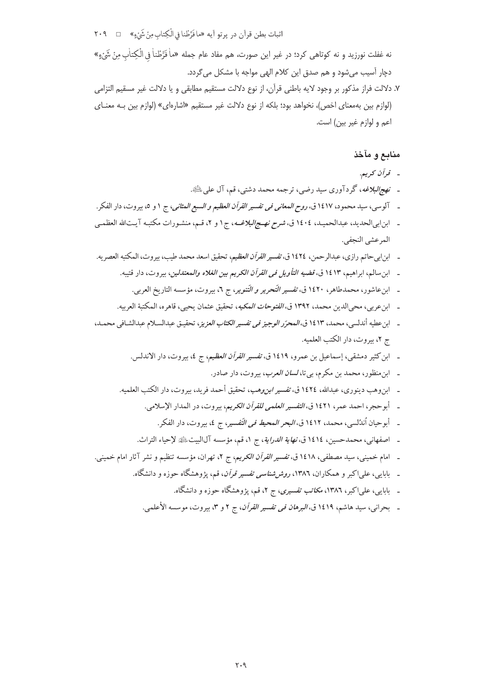اثبات بطن قرآن در پرتو آيه «مافَرَّطْنا في الْكِتاب مِنْ شَيْءٍ» ٢٠٩

نه غفلت نورزيد و نه كوتاهي كرد؛ در غير اين صورت، هم مفاد عام جمله «ماْ فَرَّطْناْ في الْكِتاٰبِ مِنْ شَيْءٍ» دچار آسيب مي شود و هم صدق اين كلام الهي مواجه با مشكل مي گردد.

٧. دلالت فراز مذكور بر وجود لايه باطني قرآن، از نوع دلالت مستقيم مطابقي و يا دلالت غير مسقيم التزامي (لوازم بین بهمعنای اخص)، نخواهد بود؛ بلکه از نوع دلالت غیر مستقیم «اشارهای» (لوازم بین بـه معنــای اعم و لوازم غير بين) است.

# منابع و مآخذ

- قرآن كريم.
- ـ نهج/لبلاغه، گردآوري سيد رضي، ترجمه محمد دشتي، قم، آل على ﷺ.
- ـ آلوسي، سيد محمود، ١٤١٧ ق، ر*وح المعاني في تفسير القرآن العظيم و السبع المثاني*، ج ١ و ٥، بيروت، دار الفكر.
- ـ ابن ابي الحديد، عبدالحميـد، ١٤٠٤ ق، *شرح نهـج البلاغــه*، ج١ و ٢، قـم، منشـورات مكتبـه آيـتالله العظمـي المرعشى النجفي.
- ـ ابن!بيحاتم رازي، عبدالرحمن، ١٤٢٤ ق، *تفسير القرآن العظيم*، تحقيق اسعد محمد طيب، بيروت، المكتبه العصريه.
	- ـ ابن سالم، ابراهيم، ١٤١٣ ق، قضي*ه التأويل في القرآن الكريم بين الغلاه والمعتدلين*، بيروت، دار قتيبه.
		- ـ ابن عاشور، محمدطاهر، ۱٤٢٠ ق، ت*فسير التّحرير و التّنوير*، ج ٢، بيروت، مؤسسه التاريخ العربي.
	- \_ ابن عربي، محي الدين محمد، ١٣٩٢ ق، *الفتوحات المكيه*، تحقيق عثمان يحيى، قاهره، المكتبة العربيه.
- ـ ابن عطيه أندلسي، محمد، ١٤١٣ ق، *المحرّر الوجيز في تفسير الكتاب العزيز*، تحقيـق عبدالسـلام عبدالشـافي محمـد، ج ٢، بيروت، دار الكتب العلميه.
	- ـ ابن كثير دمشقى، إسماعيل بن عمرو، ١٤١٩ ق، *تفسير القرآن العظيم*، ج ٤، بيروت، دار الاندلس.
		- ـ ابن منظور، محمد بن مكرم، بي تا، *لسان العرب*، بيروت، دار صادر.
	- \_ ابن وهب دينو ري، عبدالله، ١٤٢٤ ق، ت*فسير ابن وهب*، تحقيق أحمد فريد، بيروت، دار الكتب العلميه.
		- ـ أبوحجر، احمد عمر، ١٤٢١ ق، *التفسير العلمي للقرآن الكريم*، بيروت، در المدار الإسلامي.
			- ـ أبو حيان أندُلسي، محمد، ١٤١٢ ق، *البحر المحيط في التّفسير*، ج ٤، بيروت، دار الفكر.
		- ـ اصفهاني، محمدحسين، ١٤١٤ ق، *نهاية الدراية*، ج ١، قم، مؤسسه آلاليت ﷺ لإحياء التراث.
- ـ امام خميني، سيد مصطفى، ١٤١٨ ق، *تفسير القرآن الكريم*، ج ٢، تهران، مؤسسه تنظيم و نشر آثار امام خميني.
	- ـ بابایی، علیاکبر و همکاران، ۱۳۸۲، *روش شناسی تفسیر قرآن*، قم، یژوهشگاه حوزه و دانشگاه.
		- ـ بابایی، علیاکبر، ۱۳۸٦، *مکاتب تفسیری*، ج ۲، قم، یژوهشگاه حوزه و دانشگاه.
		- ـ بحراني، سيد هاشم، ١٤١٩ ق، *البرهان في تفسير القرآن*، ج ٢ و ٣، بيروت، موسسه الأعلمي.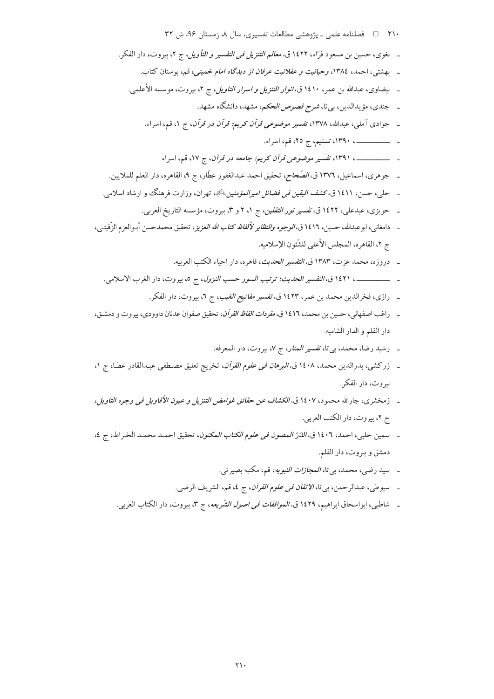دمشق و بیروت، دار القلم.

- ـ سيوطى، عبدالرحمن، بيتا، *الاتقان في علوم القرآن*، ج ٤، قم، الشريف الرضي.
- ـ شاطبي، ابواسحاق ابراهيم، ١٤٢٩ ق*، الموافقات في اصول الشّريعه*، ج ٣، بيروت، دار الكتاب العربي.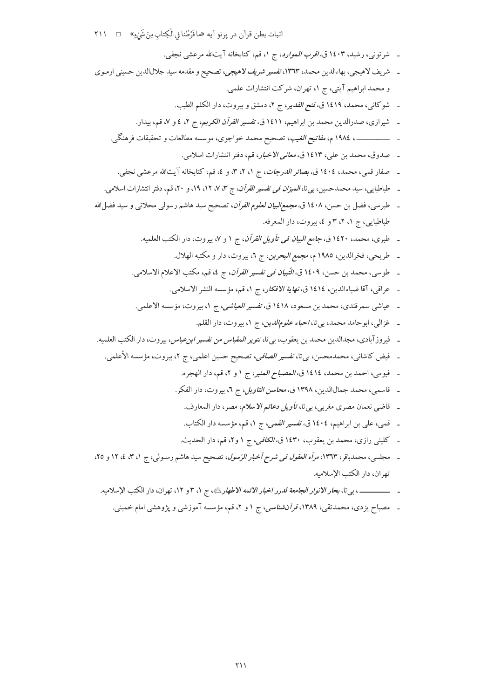- ـ شرتوني، رشيد، ١٤٠٣ ق، *اقرب الموارد*، ج ١، قم، كتابخانه آيتالله مرعشي نجفي.
- ـ شريف لاهيجي، بهاءالدين محمد، ١٣٦٣، تفسير شريف لاهيجي، تصحيح و مقدمه سيد جلالالدين حسيني ارمـوي و محمد ابراهیم آیتی، ج ۱، تهران، شرکت انتشارات علمی.
	- ـ شوكاني، محمد، ١٤١٩ ق، فتح *القدير، ج ٢، دمشق وبيروت*، دار الكلم الطيب.
	- ـ شیرازی، صدرالدین محمد بن ابراهیم، ۱٤۱۱ ق، *تفسیر القرآن الکریم*، ج ۲، ٤ و ۷، قم، بیدار.
	- ـ ــــــــــــــــــــــــ ، ١٩٨٤ م، *مفاتيح الغيب*، تصحيح محمد خواجوى، موسسه مطالعات و تحقيقات فرهنگي.
		- ـ صدوق، محمد بن علي، ١٤١٣ ق، *معاني الاخبار*، قم، دفتر انتشارات اسلامي.
		- ـ صفار قمی، محمد، ١٤٠٤ ق، *بصائر الدرجات*، ج ١، ٢، ٣، و ٤، قم، كتابخانه آيتالله مرعشى نجفى.
	- ـ طباطبايي، سيد محمدحسين، بي تا، *الميزان في تفسير القرآن*، ج ٣، ٧، ١٢، ١٩، و ٢٠، قم، دفتر انتشارات اسلامي.
- ـ طبرسي، فضل بن حسن، ١٤٠٨ ق، *مجمع البيان لعلوم القرآن*، تصحيح سيد هاشم رسولي محلاتي و سيد فضل|الله طباطبايي، ج ١، ٢، ٣ و ٤، بيروت، دار المعرفه.
	- ـ طبرى، محمد، ١٤٢٠ ق، *جامع البيان في تأويل القرآن*، ج ١ و ٧، بيروت، دار الكتب العلميه.
		- ـ طريحي، فخرالدين، ١٩٨٥ م، *مجمع البحرين*، ج ٦، بيروت، دار و مكتبه الهلال.
	- ـ طوسي، محمد بن حسن، ١٤٠٩ ق، *التّبيان في تفسير القرآن*، ج ٤، قم، مكتب الاعلام الاسلامي.
		- ـ عراقبي، آقا ضياءالدين، ١٤١٤ ق، *نهاية الافكار*، ج ١، قم، مؤسسه النشر الاسلامي.
	- ـ عياشي سمرقندي، محمد بن مسعود، ١٤١٨ ق، تفسير *العياشي، ج ١*، بيروت، مؤسسه الاعلمي.
		- ـ غزالي، ابوحامد محمد، بي تا، *احياء علوم الدين*، ج ١، بيروت، دار القلم.
- ـ فيروزآبادي، مجدالدين محمد بن يعقوب، بييتا، *تنوير المقباس من تفسير ابن عباس*، بيروت، دار الكتب العلميه.
	- ـ فيض كاشاني، محمدمحسن، بي¤ا، ت*فسير الصافي*، تصحيح حسين اعلمي، ج ٢، بيروت، مؤسسه الأعلمي.
		- ـ فيومي، احمد بن محمد، ١٤١٤ ق، *المصباح المنير*، ج ١ و ٢، قم، دار الهجره.
		- ـ قاسمي، محمد جمالالدين، ١٣٩٨ ق، *محاسن التاويل*، ج ٦، بيروت، دار الفكر.
			- ـ قاضي نعمان مصري مغربي، بي تا، ت*أويل دعائم الاسلام*، مصر، دار المعارف.
			- ـ قمي، علي بن ابراهيم، ١٤٠٤ ق، تفسير *القمي، ج ١*، قم، مؤسسه دار الكتاب.
			- ـ كليني رازي، محمد بن يعقوب، ١٤٣٠ ق، *الكافي، ج ١ و ٢*، قم، دار الحديث.
- ـ مجلسی، محمدباقر، ۱۳٦۳، *مرأه العقول فی شرح أخبار الرّسول*، تصحیح سید هاشم رسـولی، ج ۱، ۳، ٤، ۱۲ و ۲۵، تهران، دار الكتب الإسلاميه.
	- ـ ــــــــــــــــ ، بي تا، بحار *الانوار الجامعة لدرر اخبار الائمه الاطهار ب*ي الله على المع من الإسلاميه.
		- ـ مصباح یزدی، محمدتقی، ۱۳۸۹، *قرآنشناسی، ج ۱*و ۲، قم، مؤسسه آموزشی و پژوهشی امام خمینی.